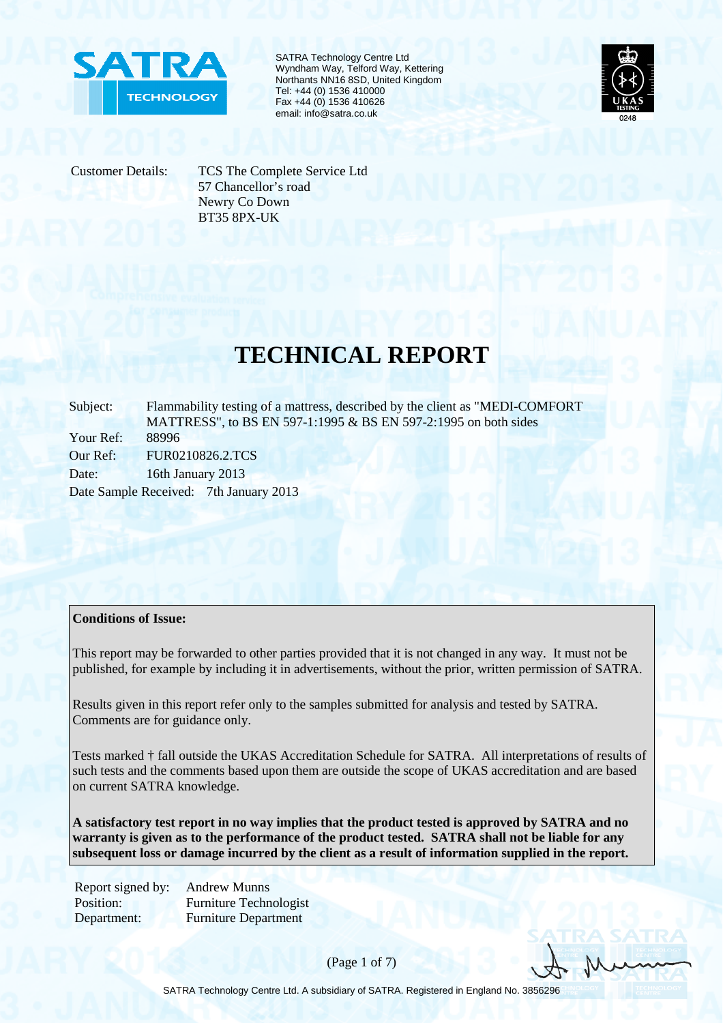

SATRA Technology Centre Ltd Wyndham Way, Telford Way, Kettering Northants NN16 8SD, United Kingdom Tel: +44 (0) 1536 410000 Fax +44 (0) 1536 410626 email: info@satra.co.uk



Customer Details: TCS The Complete Service Ltd 57 Chancellor's road Newry Co Down BT35 8PX-UK

## **TECHNICAL REPORT**

Subject: Flammability testing of a mattress, described by the client as "MEDI-COMFORT MATTRESS", to BS EN 597-1:1995 & BS EN 597-2:1995 on both sides Your Ref: 88996 Our Ref: FUR0210826.2.TCS Date: 16th January 2013 Date Sample Received: 7th January 2013

## **Conditions of Issue:**

This report may be forwarded to other parties provided that it is not changed in any way. It must not be published, for example by including it in advertisements, without the prior, written permission of SATRA.

Results given in this report refer only to the samples submitted for analysis and tested by SATRA. Comments are for guidance only.

Tests marked † fall outside the UKAS Accreditation Schedule for SATRA. All interpretations of results of such tests and the comments based upon them are outside the scope of UKAS accreditation and are based on current SATRA knowledge.

**A satisfactory test report in no way implies that the product tested is approved by SATRA and no warranty is given as to the performance of the product tested. SATRA shall not be liable for any subsequent loss or damage incurred by the client as a result of information supplied in the report.**

Report signed by: Andrew Munns Position: Furniture Technologist Department: Furniture Department

(Page 1 of 7)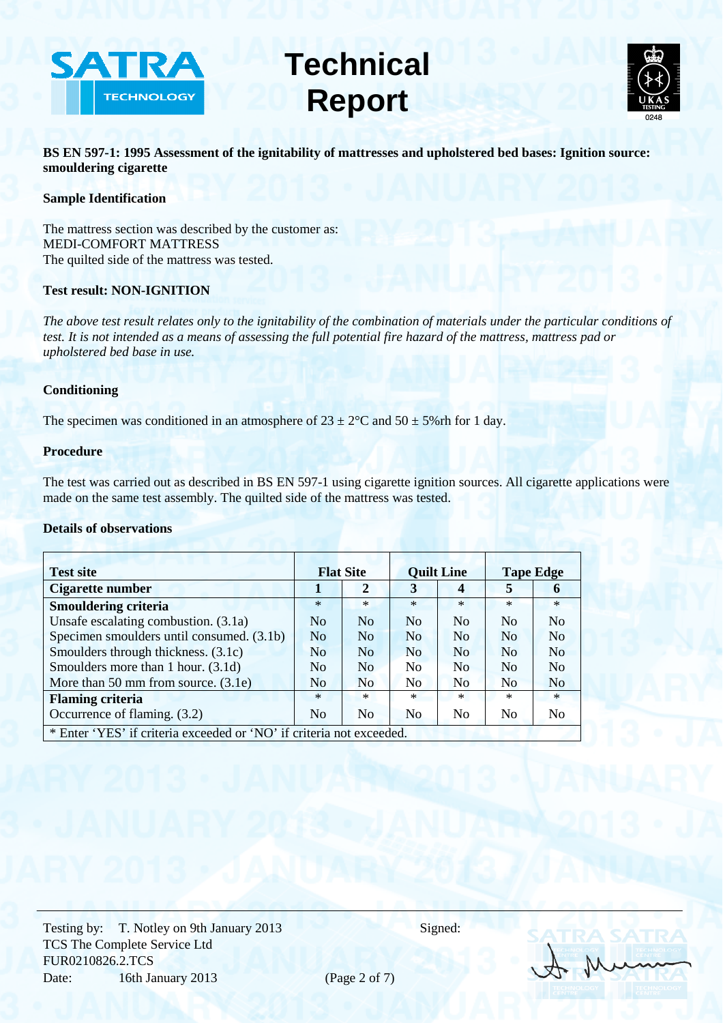



**BS EN 597-1: 1995 Assessment of the ignitability of mattresses and upholstered bed bases: Ignition source: smouldering cigarette** 

## **Sample Identification**

The mattress section was described by the customer as: MEDI-COMFORT MATTRESS The quilted side of the mattress was tested.

## **Test result: NON-IGNITION**

*The above test result relates only to the ignitability of the combination of materials under the particular conditions of test. It is not intended as a means of assessing the full potential fire hazard of the mattress, mattress pad or upholstered bed base in use.* 

## **Conditioning**

The specimen was conditioned in an atmosphere of  $23 \pm 2^{\circ}$ C and  $50 \pm 5\%$  rh for 1 day.

### **Procedure**

The test was carried out as described in BS EN 597-1 using cigarette ignition sources. All cigarette applications were made on the same test assembly. The quilted side of the mattress was tested.

## **Details of observations**

| <b>Test site</b>                                                     | <b>Flat Site</b> |                | <b>Quilt Line</b>  |                | <b>Tape Edge</b> |                    |
|----------------------------------------------------------------------|------------------|----------------|--------------------|----------------|------------------|--------------------|
| Cigarette number                                                     |                  | $\mathbf{2}$   | 3                  | 4              | 5                | 6                  |
| <b>Smouldering criteria</b>                                          | $\ast$           | $\ast$         | $\ast$             | $\ast$         | $\ast$           | $\ast$             |
| Unsafe escalating combustion. (3.1a)                                 | N <sub>0</sub>   | No             | N <sub>o</sub>     | N <sub>0</sub> | No               | N <sub>0</sub>     |
| Specimen smoulders until consumed. (3.1b)                            | N <sub>0</sub>   | N <sub>o</sub> | N <sub>o</sub>     | No             | No               | N <sub>0</sub>     |
| Smoulders through thickness. (3.1c)                                  | N <sub>0</sub>   | No             | N <sub>o</sub>     | N <sub>0</sub> | N <sub>0</sub>   | $\overline{N_{O}}$ |
| Smoulders more than 1 hour. (3.1d)                                   | N <sub>0</sub>   | No             | No                 | No             | No               | $\overline{N}_{0}$ |
| More than 50 mm from source. $(3.1e)$                                | N <sub>0</sub>   | N <sub>o</sub> | $\overline{N_{O}}$ | N <sub>0</sub> | No               | N <sub>0</sub>     |
| <b>Flaming criteria</b>                                              | $\ast$           | $*$            | $\ast$             | $*$            | $\ast$           | $\ast$             |
| Occurrence of flaming. (3.2)                                         | N <sub>0</sub>   | N <sub>0</sub> | N <sub>0</sub>     | No             | N <sub>0</sub>   | No                 |
| * Enter 'YES' if criteria exceeded or 'NO' if criteria not exceeded. |                  |                |                    |                |                  |                    |

Testing by: T. Notley on 9th January 2013 Signed: TCS The Complete Service Ltd FUR0210826.2.TCS Date: 16th January 2013 (Page 2 of 7)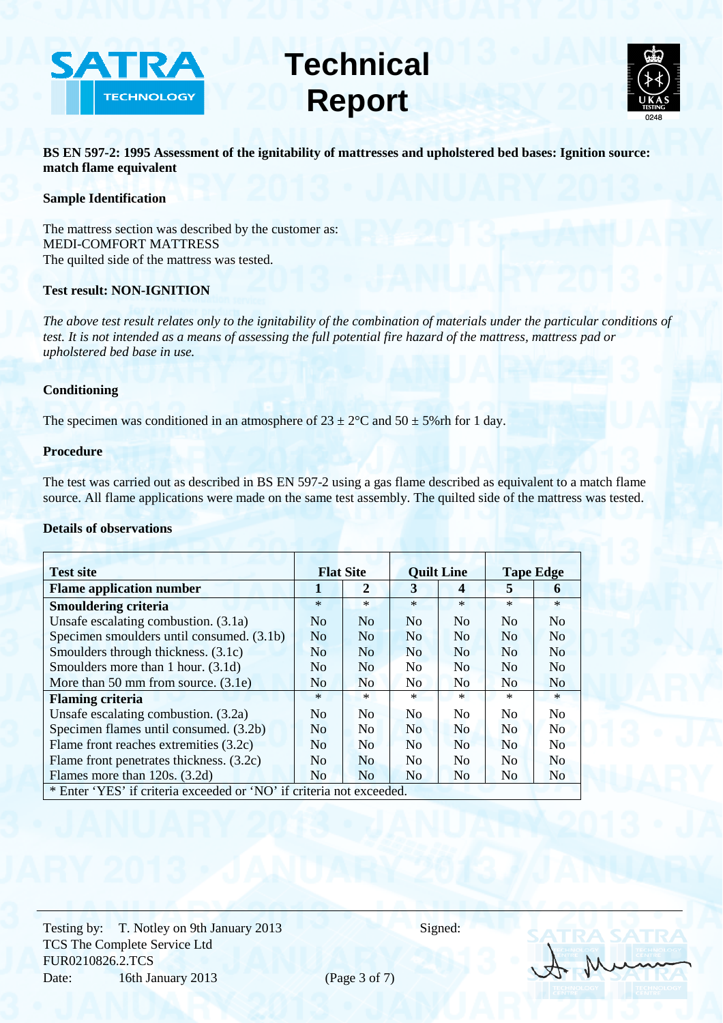



**BS EN 597-2: 1995 Assessment of the ignitability of mattresses and upholstered bed bases: Ignition source: match flame equivalent** 

## **Sample Identification**

The mattress section was described by the customer as: MEDI-COMFORT MATTRESS The quilted side of the mattress was tested.

## **Test result: NON-IGNITION**

*The above test result relates only to the ignitability of the combination of materials under the particular conditions of test. It is not intended as a means of assessing the full potential fire hazard of the mattress, mattress pad or upholstered bed base in use.* 

## **Conditioning**

The specimen was conditioned in an atmosphere of  $23 \pm 2^{\circ}$ C and  $50 \pm 5\%$  rh for 1 day.

### **Procedure**

The test was carried out as described in BS EN 597-2 using a gas flame described as equivalent to a match flame source. All flame applications were made on the same test assembly. The quilted side of the mattress was tested.

## **Details of observations**

| <b>Test site</b>                                                     | <b>Flat Site</b> |                | <b>Quilt Line</b> |                         | <b>Tape Edge</b> |                |
|----------------------------------------------------------------------|------------------|----------------|-------------------|-------------------------|------------------|----------------|
| <b>Flame application number</b>                                      | 1                | $\mathbf{2}$   | 3                 | $\overline{\mathbf{4}}$ | 5                | 6              |
| <b>Smouldering criteria</b>                                          | $*$              | $*$            | $\ast$            | $*$                     | $*$              | $\ast$         |
| Unsafe escalating combustion. (3.1a)                                 | N <sub>o</sub>   | No             | N <sub>o</sub>    | N <sub>o</sub>          | N <sub>0</sub>   | No             |
| Specimen smoulders until consumed. (3.1b)                            | N <sub>o</sub>   | N <sub>o</sub> | <b>No</b>         | N <sub>o</sub>          | N <sub>o</sub>   | N <sub>o</sub> |
| Smoulders through thickness. (3.1c)                                  | N <sub>0</sub>   | N <sub>o</sub> | N <sub>0</sub>    | N <sub>o</sub>          | N <sub>0</sub>   | No             |
| Smoulders more than 1 hour. (3.1d)                                   | N <sub>o</sub>   | No             | No                | N <sub>o</sub>          | N <sub>0</sub>   | N <sub>o</sub> |
| More than 50 mm from source. $(3.1e)$                                | N <sub>o</sub>   | N <sub>o</sub> | N <sub>0</sub>    | N <sub>o</sub>          | N <sub>0</sub>   | N <sub>0</sub> |
| <b>Flaming criteria</b>                                              | $*$              | $*$            | $\ast$            | $*$                     | $*$              | $*$            |
| Unsafe escalating combustion. (3.2a)                                 | N <sub>o</sub>   | N <sub>0</sub> | N <sub>0</sub>    | N <sub>0</sub>          | N <sub>0</sub>   | N <sub>0</sub> |
| Specimen flames until consumed. (3.2b)                               | No               | N <sub>0</sub> | N <sub>0</sub>    | <b>No</b>               | N <sub>0</sub>   | N <sub>0</sub> |
| Flame front reaches extremities (3.2c)                               | N <sub>0</sub>   | N <sub>0</sub> | N <sub>0</sub>    | N <sub>o</sub>          | N <sub>0</sub>   | N <sub>0</sub> |
| Flame front penetrates thickness. (3.2c)                             | N <sub>0</sub>   | N <sub>o</sub> | N <sub>0</sub>    | N <sub>0</sub>          | N <sub>0</sub>   | N <sub>o</sub> |
| Flames more than 120s. (3.2d)                                        | N <sub>o</sub>   | N <sub>o</sub> | N <sub>0</sub>    | N <sub>o</sub>          | N <sub>o</sub>   | N <sub>o</sub> |
| * Enter 'YES' if criteria exceeded or 'NO' if criteria not exceeded. |                  |                |                   |                         |                  |                |

Testing by: T. Notley on 9th January 2013 Signed: TCS The Complete Service Ltd FUR0210826.2.TCS Date: 16th January 2013 (Page 3 of 7)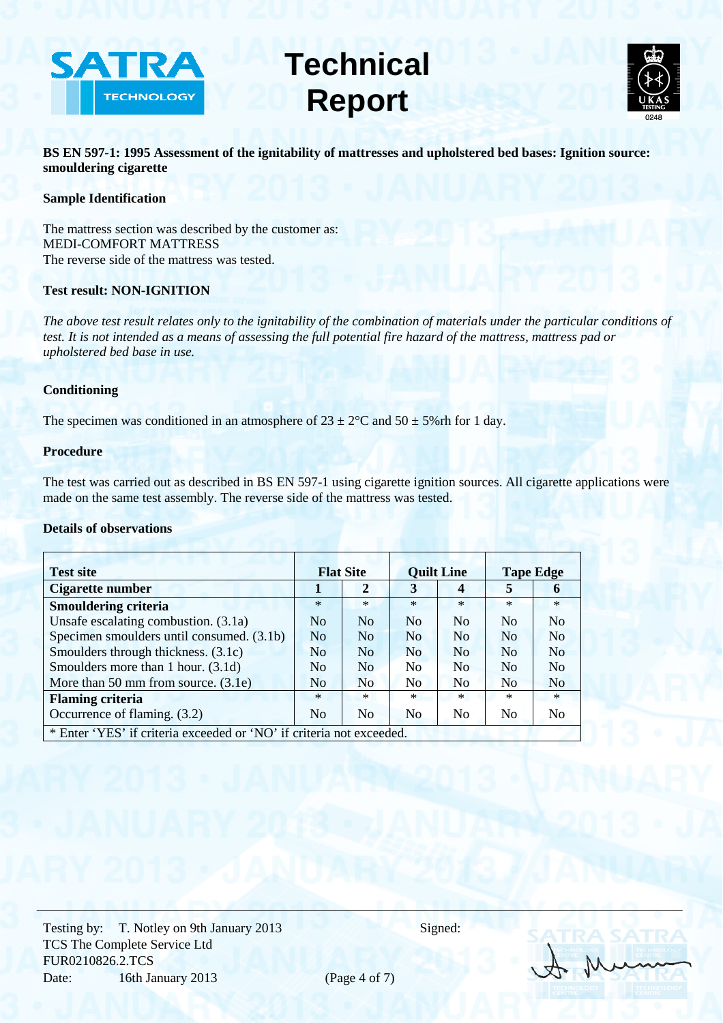



**BS EN 597-1: 1995 Assessment of the ignitability of mattresses and upholstered bed bases: Ignition source: smouldering cigarette** 

## **Sample Identification**

The mattress section was described by the customer as: MEDI-COMFORT MATTRESS The reverse side of the mattress was tested.

## **Test result: NON-IGNITION**

*The above test result relates only to the ignitability of the combination of materials under the particular conditions of test. It is not intended as a means of assessing the full potential fire hazard of the mattress, mattress pad or upholstered bed base in use.* 

## **Conditioning**

The specimen was conditioned in an atmosphere of  $23 \pm 2^{\circ}$ C and  $50 \pm 5\%$  rh for 1 day.

### **Procedure**

The test was carried out as described in BS EN 597-1 using cigarette ignition sources. All cigarette applications were made on the same test assembly. The reverse side of the mattress was tested.

## **Details of observations**

| <b>Test site</b>                                                     | <b>Flat Site</b> |                | <b>Quilt Line</b>  |                | <b>Tape Edge</b> |                    |
|----------------------------------------------------------------------|------------------|----------------|--------------------|----------------|------------------|--------------------|
| Cigarette number                                                     |                  | $\mathbf{2}$   | 3                  | 4              | 5                | 6                  |
| <b>Smouldering criteria</b>                                          | $\ast$           | $\ast$         | $\ast$             | $\ast$         | $\ast$           | $\ast$             |
| Unsafe escalating combustion. (3.1a)                                 | N <sub>0</sub>   | No             | N <sub>o</sub>     | N <sub>0</sub> | No               | N <sub>0</sub>     |
| Specimen smoulders until consumed. (3.1b)                            | N <sub>0</sub>   | N <sub>o</sub> | N <sub>o</sub>     | No             | No               | N <sub>0</sub>     |
| Smoulders through thickness. (3.1c)                                  | N <sub>0</sub>   | No             | N <sub>o</sub>     | N <sub>0</sub> | N <sub>0</sub>   | $\overline{N_{O}}$ |
| Smoulders more than 1 hour. (3.1d)                                   | N <sub>0</sub>   | No             | No                 | No             | No               | $\overline{N}_{0}$ |
| More than 50 mm from source. $(3.1e)$                                | N <sub>0</sub>   | N <sub>o</sub> | $\overline{N_{O}}$ | N <sub>0</sub> | No               | N <sub>0</sub>     |
| <b>Flaming criteria</b>                                              | $\ast$           | $*$            | $\ast$             | $*$            | $\ast$           | $\ast$             |
| Occurrence of flaming. (3.2)                                         | N <sub>0</sub>   | N <sub>0</sub> | N <sub>0</sub>     | No             | N <sub>0</sub>   | No                 |
| * Enter 'YES' if criteria exceeded or 'NO' if criteria not exceeded. |                  |                |                    |                |                  |                    |

Testing by: T. Notley on 9th January 2013 Signed: TCS The Complete Service Ltd FUR0210826.2.TCS Date: 16th January 2013 (Page 4 of 7)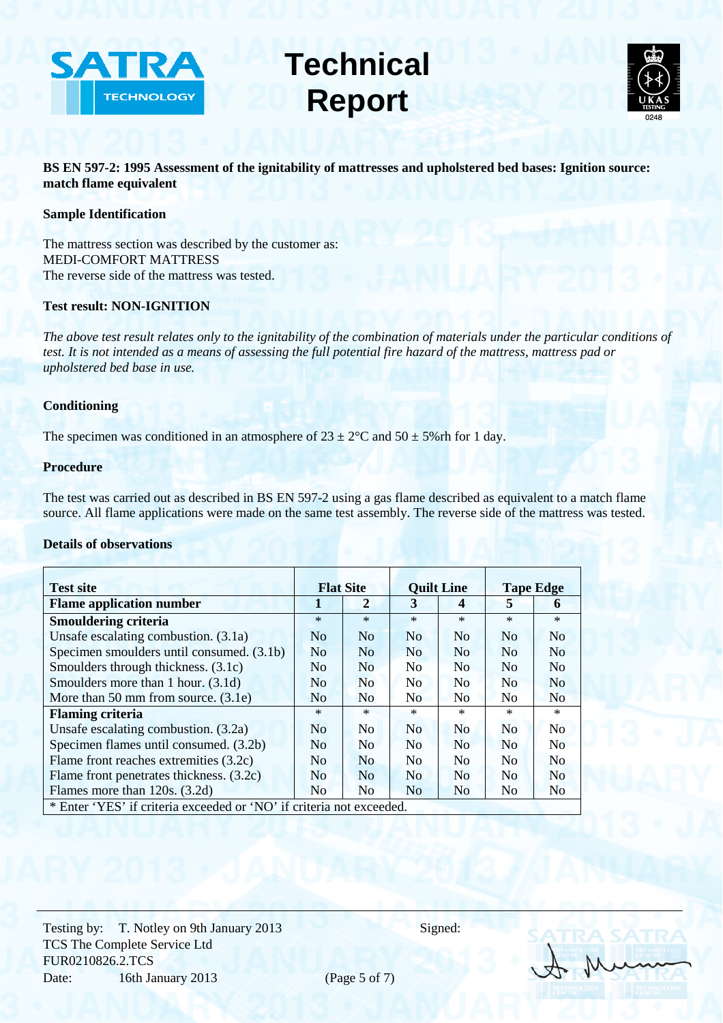



**BS EN 597-2: 1995 Assessment of the ignitability of mattresses and upholstered bed bases: Ignition source: match flame equivalent** 

### **Sample Identification**

The mattress section was described by the customer as: MEDI-COMFORT MATTRESS The reverse side of the mattress was tested.

#### **Test result: NON-IGNITION**

*The above test result relates only to the ignitability of the combination of materials under the particular conditions of test. It is not intended as a means of assessing the full potential fire hazard of the mattress, mattress pad or upholstered bed base in use.* 

## **Conditioning**

The specimen was conditioned in an atmosphere of  $23 \pm 2$ °C and  $50 \pm 5$ % rh for 1 day.

#### **Procedure**

The test was carried out as described in BS EN 597-2 using a gas flame described as equivalent to a match flame source. All flame applications were made on the same test assembly. The reverse side of the mattress was tested.

#### **Details of observations**

| <b>Test site</b>                                                     | <b>Flat Site</b> |                | <b>Quilt Line</b> |                | <b>Tape Edge</b> |                |
|----------------------------------------------------------------------|------------------|----------------|-------------------|----------------|------------------|----------------|
| <b>Flame application number</b>                                      | 1                | $\overline{2}$ | 3                 | 4              | 5                | 6              |
| <b>Smouldering criteria</b>                                          | $\ast$           | $\ast$         | $*$               | $\ast$         | $*$              | $*$            |
| Unsafe escalating combustion. (3.1a)                                 | N <sub>0</sub>   | No             | <b>No</b>         | No             | N <sub>0</sub>   | No             |
| Specimen smoulders until consumed. (3.1b)                            | N <sub>0</sub>   | No             | N <sub>o</sub>    | N <sub>0</sub> | N <sub>o</sub>   | No             |
| Smoulders through thickness. (3.1c)                                  | No               | N <sub>0</sub> | No                | N <sub>0</sub> | N <sub>0</sub>   | No             |
| Smoulders more than 1 hour. (3.1d)                                   | No               | No             | N <sub>0</sub>    | N <sub>0</sub> | No               | N <sub>0</sub> |
| More than 50 mm from source. (3.1e)                                  | N <sub>o</sub>   | N <sub>o</sub> | N <sub>0</sub>    | N <sub>o</sub> | N <sub>0</sub>   | N <sub>0</sub> |
| <b>Flaming criteria</b>                                              | $\ast$           | $\ast$         | $\ast$            | $*$            | $\ast$           | $*$            |
| Unsafe escalating combustion. (3.2a)                                 | N <sub>0</sub>   | N <sub>0</sub> | N <sub>o</sub>    | N <sub>o</sub> | N <sub>o</sub>   | No             |
| Specimen flames until consumed. (3.2b)                               | N <sub>o</sub>   | N <sub>0</sub> | N <sub>o</sub>    | N <sub>0</sub> | <b>No</b>        | N <sub>0</sub> |
| Flame front reaches extremities (3.2c)                               | No               | N <sub>0</sub> | N <sub>0</sub>    | N <sub>0</sub> | N <sub>0</sub>   | N <sub>0</sub> |
| Flame front penetrates thickness. (3.2c)                             | No               | N <sub>o</sub> | N <sub>o</sub>    | N <sub>0</sub> | N <sub>o</sub>   | N <sub>0</sub> |
| Flames more than 120s. (3.2d)                                        | N <sub>0</sub>   | N <sub>0</sub> | N <sub>0</sub>    | N <sub>0</sub> | N <sub>0</sub>   | N <sub>o</sub> |
| * Enter 'YES' if criteria exceeded or 'NO' if criteria not exceeded. |                  |                |                   |                |                  |                |

Testing by: T. Notley on 9th January 2013 Signed: TCS The Complete Service Ltd FUR0210826.2.TCS Date: 16th January 2013 (Page 5 of 7)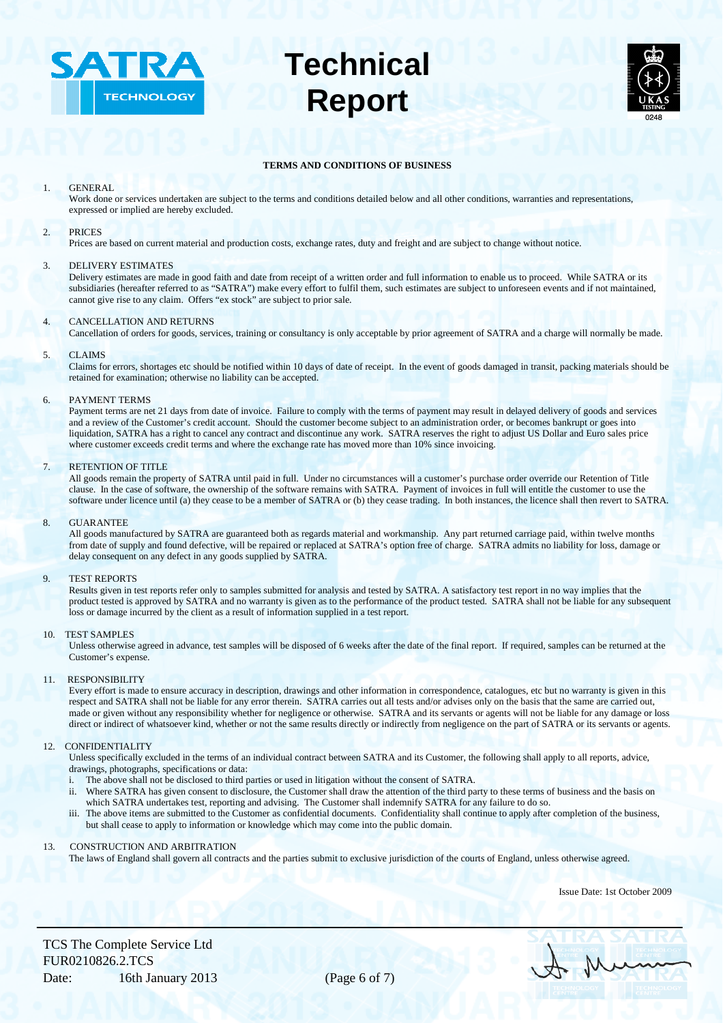



#### **TERMS AND CONDITIONS OF BUSINESS**

#### 1. GENERAL

Work done or services undertaken are subject to the terms and conditions detailed below and all other conditions, warranties and representations, expressed or implied are hereby excluded.

#### 2. PRICES

Prices are based on current material and production costs, exchange rates, duty and freight and are subject to change without notice.

#### 3. DELIVERY ESTIMATES

Delivery estimates are made in good faith and date from receipt of a written order and full information to enable us to proceed. While SATRA or its subsidiaries (hereafter referred to as "SATRA") make every effort to fulfil them, such estimates are subject to unforeseen events and if not maintained, cannot give rise to any claim. Offers "ex stock" are subject to prior sale.

#### 4. CANCELLATION AND RETURNS

Cancellation of orders for goods, services, training or consultancy is only acceptable by prior agreement of SATRA and a charge will normally be made.

#### 5. CLAIMS

Claims for errors, shortages etc should be notified within 10 days of date of receipt. In the event of goods damaged in transit, packing materials should be retained for examination; otherwise no liability can be accepted.

#### 6. PAYMENT TERMS

Payment terms are net 21 days from date of invoice. Failure to comply with the terms of payment may result in delayed delivery of goods and services and a review of the Customer's credit account. Should the customer become subject to an administration order, or becomes bankrupt or goes into liquidation, SATRA has a right to cancel any contract and discontinue any work. SATRA reserves the right to adjust US Dollar and Euro sales price where customer exceeds credit terms and where the exchange rate has moved more than 10% since invoicing.

#### 7. RETENTION OF TITLE

All goods remain the property of SATRA until paid in full. Under no circumstances will a customer's purchase order override our Retention of Title clause. In the case of software, the ownership of the software remains with SATRA. Payment of invoices in full will entitle the customer to use the software under licence until (a) they cease to be a member of SATRA or (b) they cease trading. In both instances, the licence shall then revert to SATRA.

#### 8. GUARANTEE

All goods manufactured by SATRA are guaranteed both as regards material and workmanship. Any part returned carriage paid, within twelve months from date of supply and found defective, will be repaired or replaced at SATRA's option free of charge. SATRA admits no liability for loss, damage or delay consequent on any defect in any goods supplied by SATRA.

#### 9. TEST REPORTS

Results given in test reports refer only to samples submitted for analysis and tested by SATRA. A satisfactory test report in no way implies that the product tested is approved by SATRA and no warranty is given as to the performance of the product tested. SATRA shall not be liable for any subsequent loss or damage incurred by the client as a result of information supplied in a test report.

#### 10. TEST SAMPLES

Unless otherwise agreed in advance, test samples will be disposed of 6 weeks after the date of the final report. If required, samples can be returned at the Customer's expense.

#### 11. RESPONSIBILITY

Every effort is made to ensure accuracy in description, drawings and other information in correspondence, catalogues, etc but no warranty is given in this respect and SATRA shall not be liable for any error therein. SATRA carries out all tests and/or advises only on the basis that the same are carried out, made or given without any responsibility whether for negligence or otherwise. SATRA and its servants or agents will not be liable for any damage or loss direct or indirect of whatsoever kind, whether or not the same results directly or indirectly from negligence on the part of SATRA or its servants or agents.

#### 12. CONFIDENTIALITY

Unless specifically excluded in the terms of an individual contract between SATRA and its Customer, the following shall apply to all reports, advice, drawings, photographs, specifications or data:

- The above shall not be disclosed to third parties or used in litigation without the consent of SATRA.
- ii. Where SATRA has given consent to disclosure, the Customer shall draw the attention of the third party to these terms of business and the basis on which SATRA undertakes test, reporting and advising. The Customer shall indemnify SATRA for any failure to do so.
- iii. The above items are submitted to the Customer as confidential documents. Confidentiality shall continue to apply after completion of the business, but shall cease to apply to information or knowledge which may come into the public domain.

#### 13. CONSTRUCTION AND ARBITRATION

The laws of England shall govern all contracts and the parties submit to exclusive jurisdiction of the courts of England, unless otherwise agreed.

Issue Date: 1st October 2009